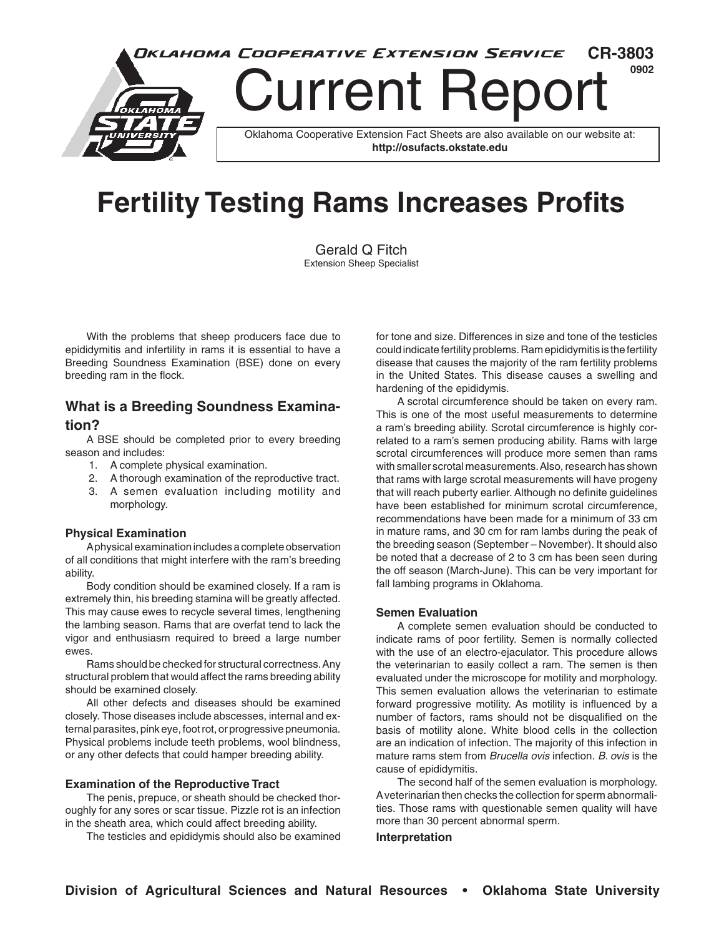

# **Fertility Testing Rams Increases Profits**

Gerald Q Fitch Extension Sheep Specialist

With the problems that sheep producers face due to epididymitis and infertility in rams it is essential to have a Breeding Soundness Examination (BSE) done on every breeding ram in the flock.

## **What is a Breeding Soundness Examination?**

A BSE should be completed prior to every breeding season and includes:

- 1. A complete physical examination.
- 2. A thorough examination of the reproductive tract.
- 3. A semen evaluation including motility and morphology.

#### **Physical Examination**

A physical examination includes a complete observation of all conditions that might interfere with the ram's breeding ability.

Body condition should be examined closely. If a ram is extremely thin, his breeding stamina will be greatly affected. This may cause ewes to recycle several times, lengthening the lambing season. Rams that are overfat tend to lack the vigor and enthusiasm required to breed a large number ewes.

Rams should be checked for structural correctness. Any structural problem that would affect the rams breeding ability should be examined closely.

All other defects and diseases should be examined closely. Those diseases include abscesses, internal and external parasites, pink eye, foot rot, or progressive pneumonia. Physical problems include teeth problems, wool blindness, or any other defects that could hamper breeding ability.

#### **Examination of the Reproductive Tract**

The penis, prepuce, or sheath should be checked thoroughly for any sores or scar tissue. Pizzle rot is an infection in the sheath area, which could affect breeding ability.

The testicles and epididymis should also be examined

for tone and size. Differences in size and tone of the testicles could indicate fertility problems. Ram epididymitis is the fertility disease that causes the majority of the ram fertility problems in the United States. This disease causes a swelling and hardening of the epididymis.

A scrotal circumference should be taken on every ram. This is one of the most useful measurements to determine a ram's breeding ability. Scrotal circumference is highly correlated to a ram's semen producing ability. Rams with large scrotal circumferences will produce more semen than rams with smaller scrotal measurements. Also, research has shown that rams with large scrotal measurements will have progeny that will reach puberty earlier. Although no definite guidelines have been established for minimum scrotal circumference, recommendations have been made for a minimum of 33 cm in mature rams, and 30 cm for ram lambs during the peak of the breeding season (September – November). It should also be noted that a decrease of 2 to 3 cm has been seen during the off season (March-June). This can be very important for fall lambing programs in Oklahoma.

#### **Semen Evaluation**

A complete semen evaluation should be conducted to indicate rams of poor fertility. Semen is normally collected with the use of an electro-ejaculator. This procedure allows the veterinarian to easily collect a ram. The semen is then evaluated under the microscope for motility and morphology. This semen evaluation allows the veterinarian to estimate forward progressive motility. As motility is influenced by a number of factors, rams should not be disqualified on the basis of motility alone. White blood cells in the collection are an indication of infection. The majority of this infection in mature rams stem from *Brucella ovis* infection. *B. ovis* is the cause of epididymitis.

The second half of the semen evaluation is morphology. A veterinarian then checks the collection for sperm abnormalities. Those rams with questionable semen quality will have more than 30 percent abnormal sperm.

**Interpretation**